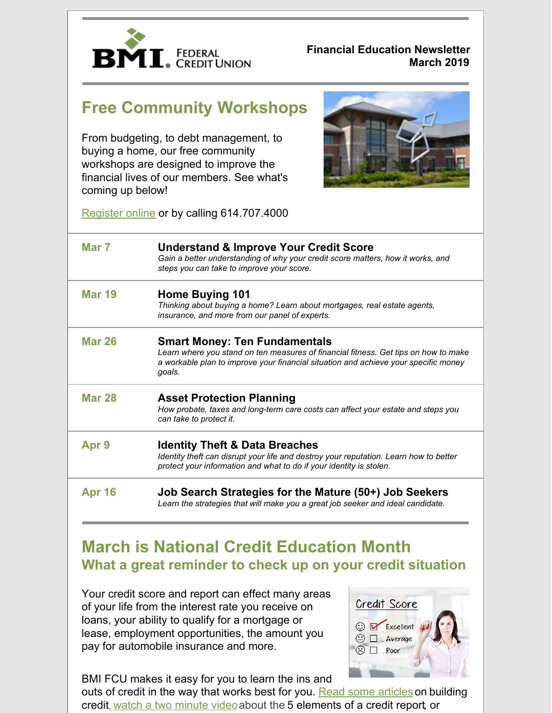

#### **Financial Education Newsletter March 2019**

# **Free Community Workshops**

From budgeting, to debt management, to buying a home, our free community workshops are designed to improve the financial lives of our members. See what's coming up below!



Register online or by calling 614.707.4000

| Mar 7            | <b>Understand &amp; Improve Your Credit Score</b><br>Gain a better understanding of why your credit score matters, how it works, and<br>steps you can take to improve your score.                                            |
|------------------|------------------------------------------------------------------------------------------------------------------------------------------------------------------------------------------------------------------------------|
| <b>Mar 19</b>    | <b>Home Buying 101</b><br>Thinking about buying a home? Learn about mortgages, real estate agents,<br>insurance, and more from our panel of experts.                                                                         |
| <b>Mar 26</b>    | <b>Smart Money: Ten Fundamentals</b><br>Learn where you stand on ten measures of financial fitness. Get tips on how to make<br>a workable plan to improve your financial situation and achieve your specific money<br>qoals. |
| <b>Mar 28</b>    | <b>Asset Protection Planning</b><br>How probate, taxes and long-term care costs can affect your estate and steps you<br>can take to protect it.                                                                              |
| Apr <sub>9</sub> | <b>Identity Theft &amp; Data Breaches</b><br>Identity theft can disrupt your life and destroy your reputation. Learn how to better<br>protect your information and what to do if your identity is stolen.                    |
| <b>Apr 16</b>    | Job Search Strategies for the Mature (50+) Job Seekers<br>Learn the strategies that will make you a great job seeker and ideal candidate.                                                                                    |

## **March is National Credit Education Month What a great reminder to check up on your credit situation**

Your credit score and report can effect many areas of your life from the interest rate you receive on loans, your ability to qualify for a mortgage or lease, employment opportunities, the amount you pay for automobile insurance and more.

BMI FCU makes it easy for you to learn the ins and

outs of credit in the way that works best for you. Read some articles on building credit, watch a two minute video about the 5 elements of a credit report, or

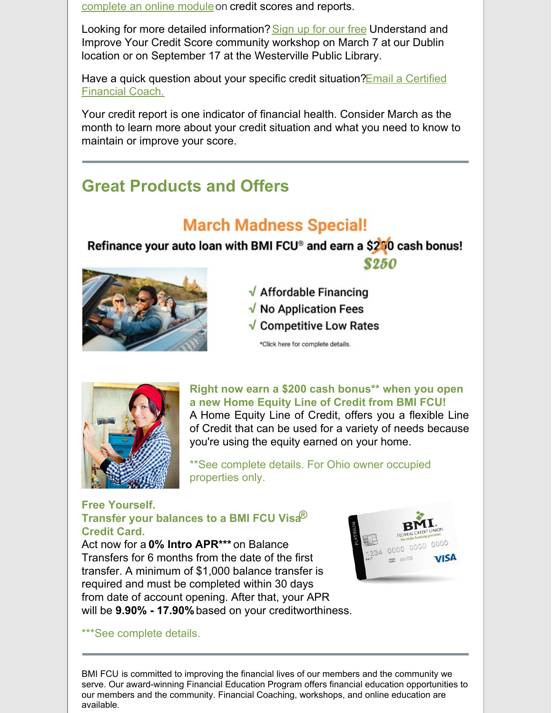complete an online moduleon credit scores and reports.

Looking for more detailed information? Sign up for our free Understand and Improve Your Credit Score community workshop on March 7 at our Dublin location or on September 17 at the Westerville Public Library.

Have a quick question about your specific credit situation? Email a Certified Financial Coach.

Your credit report is one indicator of financial health. Consider March as the month to learn more about your credit situation and what you need to know to maintain or improve your score.

## **Great Products and Offers**

# **March Madness Special!**

### Refinance your auto loan with BMI FCU® and earn a \$200 cash bonus! **\$250**



- √ Affordable Financing
- $\sqrt{}$  No Application Fees
- $\sqrt{\ }$  Competitive Low Rates

\*Click here for complete details.



#### **Right now earn a \$200 cash bonus\*\* when you open a new Home Equity Line of Credit from BMI FCU!**

A Home Equity Line of Credit, offers you a flexible Line of Credit that can be used for a variety of needs because you're using the equity earned on your home.

\*\*See complete details. For Ohio owner occupied properties only.

#### **Free Yourself. Transfer your balances to a BMI FCU Visa® Credit Card.**

Act now for a **0% Intro APR\*\*\*** on Balance Transfers for 6 months from the date of the first transfer. A minimum of \$1,000 balance transfer is required and must be completed within 30 days from date of account opening. After that, your APR will be **9.90% - 17.90%** based on your creditworthiness.



\*\*\*See complete details.

BMI FCU is committed to improving the financial lives of our members and the community we serve. Our award-winning Financial Education Program offers financial education opportunities to our members and the community. Financial Coaching, workshops, and online education are available.